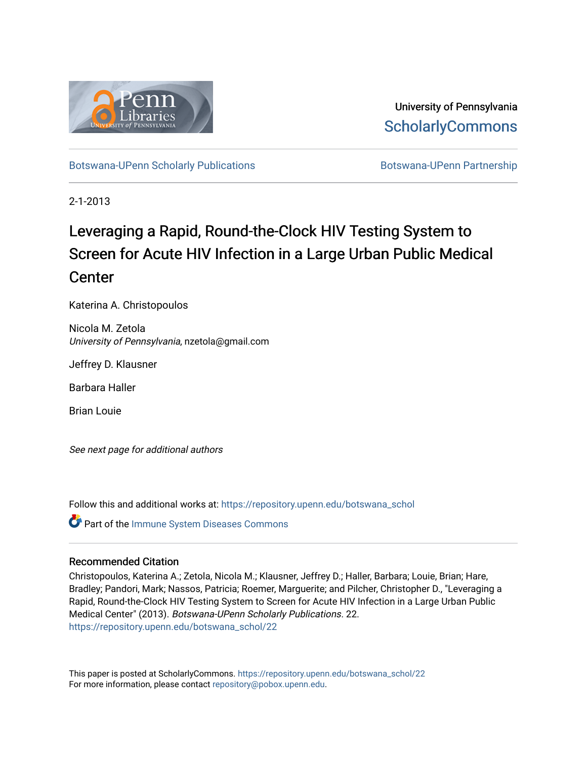

University of Pennsylvania **ScholarlyCommons** 

[Botswana-UPenn Scholarly Publications](https://repository.upenn.edu/botswana_schol) **Botswana-UPenn Partnership** 

2-1-2013

# Leveraging a Rapid, Round-the-Clock HIV Testing System to Screen for Acute HIV Infection in a Large Urban Public Medical **Center**

Katerina A. Christopoulos

Nicola M. Zetola University of Pennsylvania, nzetola@gmail.com

Jeffrey D. Klausner

Barbara Haller

Brian Louie

See next page for additional authors

Follow this and additional works at: [https://repository.upenn.edu/botswana\\_schol](https://repository.upenn.edu/botswana_schol?utm_source=repository.upenn.edu%2Fbotswana_schol%2F22&utm_medium=PDF&utm_campaign=PDFCoverPages) 

**Part of the Immune System Diseases Commons** 

## Recommended Citation

Christopoulos, Katerina A.; Zetola, Nicola M.; Klausner, Jeffrey D.; Haller, Barbara; Louie, Brian; Hare, Bradley; Pandori, Mark; Nassos, Patricia; Roemer, Marguerite; and Pilcher, Christopher D., "Leveraging a Rapid, Round-the-Clock HIV Testing System to Screen for Acute HIV Infection in a Large Urban Public Medical Center" (2013). Botswana-UPenn Scholarly Publications. 22. [https://repository.upenn.edu/botswana\\_schol/22](https://repository.upenn.edu/botswana_schol/22?utm_source=repository.upenn.edu%2Fbotswana_schol%2F22&utm_medium=PDF&utm_campaign=PDFCoverPages)

This paper is posted at ScholarlyCommons. [https://repository.upenn.edu/botswana\\_schol/22](https://repository.upenn.edu/botswana_schol/22)  For more information, please contact [repository@pobox.upenn.edu.](mailto:repository@pobox.upenn.edu)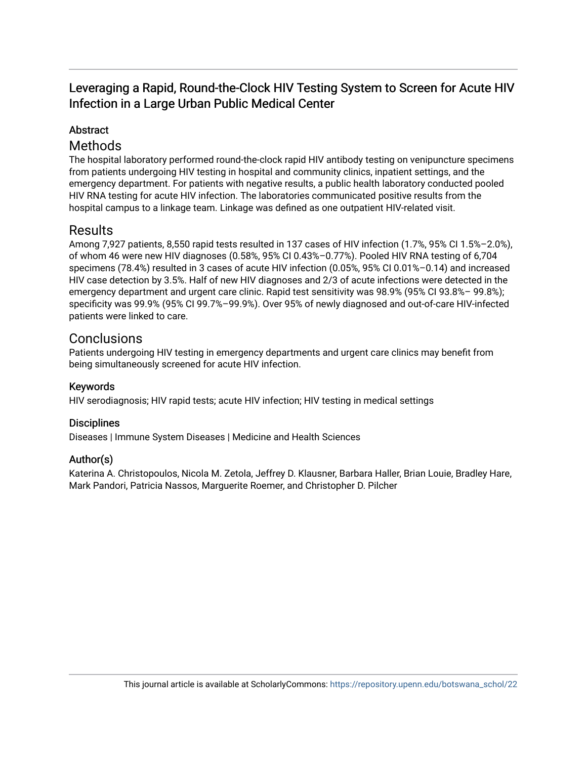## Leveraging a Rapid, Round-the-Clock HIV Testing System to Screen for Acute HIV Infection in a Large Urban Public Medical Center

## Abstract

## Methods

The hospital laboratory performed round-the-clock rapid HIV antibody testing on venipuncture specimens from patients undergoing HIV testing in hospital and community clinics, inpatient settings, and the emergency department. For patients with negative results, a public health laboratory conducted pooled HIV RNA testing for acute HIV infection. The laboratories communicated positive results from the hospital campus to a linkage team. Linkage was defined as one outpatient HIV-related visit.

## Results

Among 7,927 patients, 8,550 rapid tests resulted in 137 cases of HIV infection (1.7%, 95% CI 1.5%–2.0%), of whom 46 were new HIV diagnoses (0.58%, 95% CI 0.43%–0.77%). Pooled HIV RNA testing of 6,704 specimens (78.4%) resulted in 3 cases of acute HIV infection (0.05%, 95% CI 0.01%–0.14) and increased HIV case detection by 3.5%. Half of new HIV diagnoses and 2/3 of acute infections were detected in the emergency department and urgent care clinic. Rapid test sensitivity was 98.9% (95% CI 93.8%– 99.8%); specificity was 99.9% (95% CI 99.7%–99.9%). Over 95% of newly diagnosed and out-of-care HIV-infected patients were linked to care.

## **Conclusions**

Patients undergoing HIV testing in emergency departments and urgent care clinics may benefit from being simultaneously screened for acute HIV infection.

## Keywords

HIV serodiagnosis; HIV rapid tests; acute HIV infection; HIV testing in medical settings

## **Disciplines**

Diseases | Immune System Diseases | Medicine and Health Sciences

## Author(s)

Katerina A. Christopoulos, Nicola M. Zetola, Jeffrey D. Klausner, Barbara Haller, Brian Louie, Bradley Hare, Mark Pandori, Patricia Nassos, Marguerite Roemer, and Christopher D. Pilcher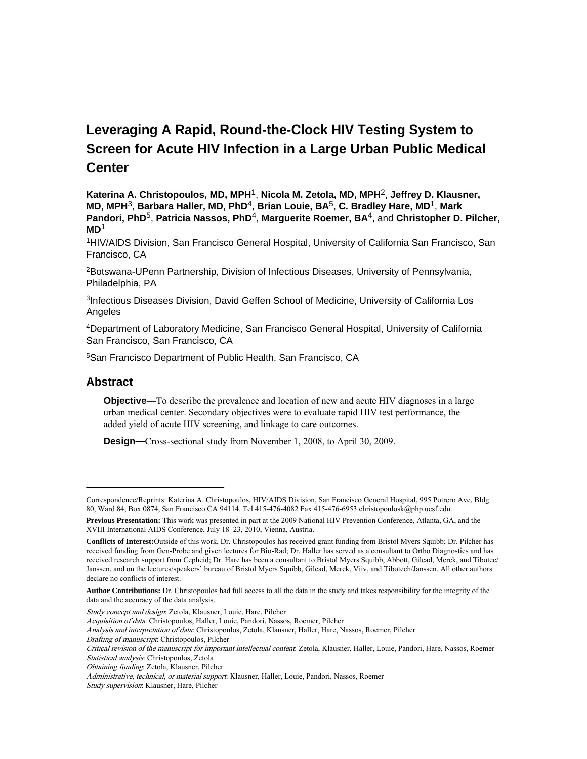## **Leveraging A Rapid, Round-the-Clock HIV Testing System to Screen for Acute HIV Infection in a Large Urban Public Medical Center**

**Katerina A. Christopoulos, MD, MPH**1, **Nicola M. Zetola, MD, MPH**2, **Jeffrey D. Klausner, MD, MPH**3, **Barbara Haller, MD, PhD**4, **Brian Louie, BA**5, **C. Bradley Hare, MD**1, **Mark Pandori, PhD**5, **Patricia Nassos, PhD**4, **Marguerite Roemer, BA**4, and **Christopher D. Pilcher, MD**<sup>1</sup>

<sup>1</sup>HIV/AIDS Division, San Francisco General Hospital, University of California San Francisco, San Francisco, CA

<sup>2</sup>Botswana-UPenn Partnership, Division of Infectious Diseases, University of Pennsylvania, Philadelphia, PA

<sup>3</sup>Infectious Diseases Division, David Geffen School of Medicine, University of California Los Angeles

<sup>4</sup>Department of Laboratory Medicine, San Francisco General Hospital, University of California San Francisco, San Francisco, CA

<sup>5</sup>San Francisco Department of Public Health, San Francisco, CA

### **Abstract**

**Objective—**To describe the prevalence and location of new and acute HIV diagnoses in a large urban medical center. Secondary objectives were to evaluate rapid HIV test performance, the added yield of acute HIV screening, and linkage to care outcomes.

**Design—**Cross-sectional study from November 1, 2008, to April 30, 2009.

Study concept and design: Zetola, Klausner, Louie, Hare, Pilcher

Drafting of manuscript: Christopoulos, Pilcher

Correspondence/Reprints: Katerina A. Christopoulos, HIV/AIDS Division, San Francisco General Hospital, 995 Potrero Ave, Bldg 80, Ward 84, Box 0874, San Francisco CA 94114. Tel 415-476-4082 Fax 415-476-6953 christopoulosk@php.ucsf.edu.

**Previous Presentation:** This work was presented in part at the 2009 National HIV Prevention Conference, Atlanta, GA, and the XVIII International AIDS Conference, July 18–23, 2010, Vienna, Austria.

**Conflicts of Interest:**Outside of this work, Dr. Christopoulos has received grant funding from Bristol Myers Squibb; Dr. Pilcher has received funding from Gen-Probe and given lectures for Bio-Rad; Dr. Haller has served as a consultant to Ortho Diagnostics and has received research support from Cepheid; Dr. Hare has been a consultant to Bristol Myers Squibb, Abbott, Gilead, Merck, and Tibotec/ Janssen, and on the lectures/speakers' bureau of Bristol Myers Squibb, Gilead, Merck, Viiv, and Tibotech/Janssen. All other authors declare no conflicts of interest.

**Author Contributions:** Dr. Christopoulos had full access to all the data in the study and takes responsibility for the integrity of the data and the accuracy of the data analysis.

Acquisition of data: Christopoulos, Haller, Louie, Pandori, Nassos, Roemer, Pilcher

Analysis and interpretation of data: Christopoulos, Zetola, Klausner, Haller, Hare, Nassos, Roemer, Pilcher

Critical revision of the manuscript for important intellectual content: Zetola, Klausner, Haller, Louie, Pandori, Hare, Nassos, Roemer Statistical analysis: Christopoulos, Zetola

Obtaining funding: Zetola, Klausner, Pilcher

Administrative, technical, or material support: Klausner, Haller, Louie, Pandori, Nassos, Roemer

Study supervision: Klausner, Hare, Pilcher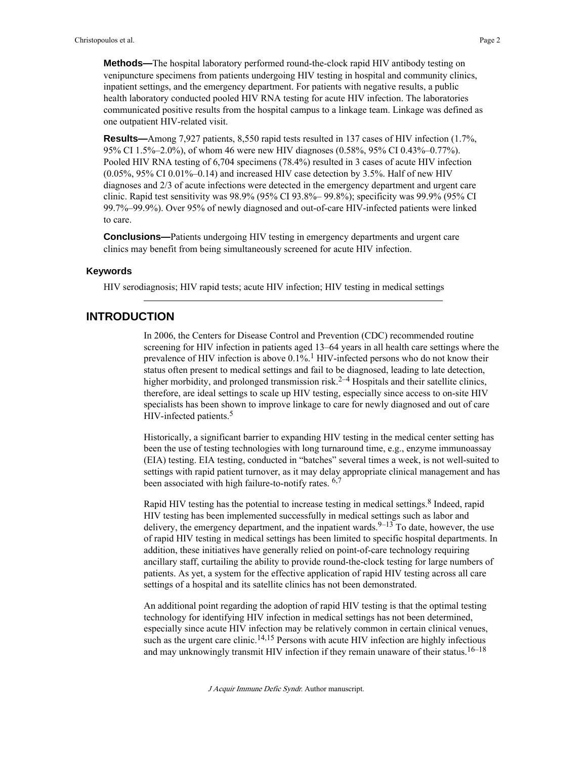**Methods—**The hospital laboratory performed round-the-clock rapid HIV antibody testing on venipuncture specimens from patients undergoing HIV testing in hospital and community clinics, inpatient settings, and the emergency department. For patients with negative results, a public health laboratory conducted pooled HIV RNA testing for acute HIV infection. The laboratories communicated positive results from the hospital campus to a linkage team. Linkage was defined as one outpatient HIV-related visit.

**Results—**Among 7,927 patients, 8,550 rapid tests resulted in 137 cases of HIV infection (1.7%, 95% CI 1.5%–2.0%), of whom 46 were new HIV diagnoses (0.58%, 95% CI 0.43%–0.77%). Pooled HIV RNA testing of 6,704 specimens (78.4%) resulted in 3 cases of acute HIV infection (0.05%, 95% CI 0.01%–0.14) and increased HIV case detection by 3.5%. Half of new HIV diagnoses and 2/3 of acute infections were detected in the emergency department and urgent care clinic. Rapid test sensitivity was 98.9% (95% CI 93.8%– 99.8%); specificity was 99.9% (95% CI 99.7%–99.9%). Over 95% of newly diagnosed and out-of-care HIV-infected patients were linked to care.

**Conclusions—**Patients undergoing HIV testing in emergency departments and urgent care clinics may benefit from being simultaneously screened for acute HIV infection.

#### **Keywords**

HIV serodiagnosis; HIV rapid tests; acute HIV infection; HIV testing in medical settings

### **INTRODUCTION**

In 2006, the Centers for Disease Control and Prevention (CDC) recommended routine screening for HIV infection in patients aged 13–64 years in all health care settings where the prevalence of HIV infection is above  $0.1\%$ .<sup>1</sup> HIV-infected persons who do not know their status often present to medical settings and fail to be diagnosed, leading to late detection, higher morbidity, and prolonged transmission risk.<sup>2–4</sup> Hospitals and their satellite clinics, therefore, are ideal settings to scale up HIV testing, especially since access to on-site HIV specialists has been shown to improve linkage to care for newly diagnosed and out of care HIV-infected patients.<sup>5</sup>

Historically, a significant barrier to expanding HIV testing in the medical center setting has been the use of testing technologies with long turnaround time, e.g., enzyme immunoassay (EIA) testing. EIA testing, conducted in "batches" several times a week, is not well-suited to settings with rapid patient turnover, as it may delay appropriate clinical management and has been associated with high failure-to-notify rates.  $6$ ,

Rapid HIV testing has the potential to increase testing in medical settings.<sup>8</sup> Indeed, rapid HIV testing has been implemented successfully in medical settings such as labor and delivery, the emergency department, and the inpatient wards.  $9-13$  To date, however, the use of rapid HIV testing in medical settings has been limited to specific hospital departments. In addition, these initiatives have generally relied on point-of-care technology requiring ancillary staff, curtailing the ability to provide round-the-clock testing for large numbers of patients. As yet, a system for the effective application of rapid HIV testing across all care settings of a hospital and its satellite clinics has not been demonstrated.

An additional point regarding the adoption of rapid HIV testing is that the optimal testing technology for identifying HIV infection in medical settings has not been determined, especially since acute HIV infection may be relatively common in certain clinical venues, such as the urgent care clinic.<sup>14,15</sup> Persons with acute HIV infection are highly infectious and may unknowingly transmit HIV infection if they remain unaware of their status.<sup>16–18</sup>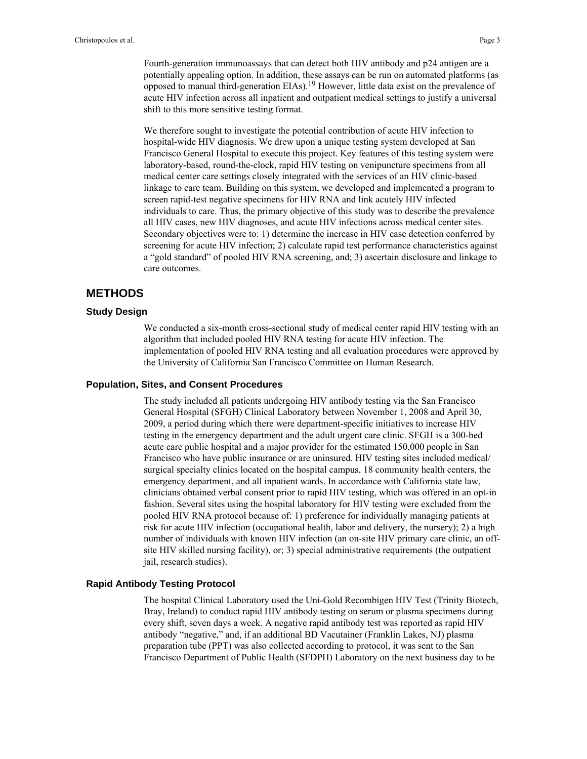Fourth-generation immunoassays that can detect both HIV antibody and p24 antigen are a potentially appealing option. In addition, these assays can be run on automated platforms (as opposed to manual third-generation EIAs).19 However, little data exist on the prevalence of acute HIV infection across all inpatient and outpatient medical settings to justify a universal shift to this more sensitive testing format.

We therefore sought to investigate the potential contribution of acute HIV infection to hospital-wide HIV diagnosis. We drew upon a unique testing system developed at San Francisco General Hospital to execute this project. Key features of this testing system were laboratory-based, round-the-clock, rapid HIV testing on venipuncture specimens from all medical center care settings closely integrated with the services of an HIV clinic-based linkage to care team. Building on this system, we developed and implemented a program to screen rapid-test negative specimens for HIV RNA and link acutely HIV infected individuals to care. Thus, the primary objective of this study was to describe the prevalence all HIV cases, new HIV diagnoses, and acute HIV infections across medical center sites. Secondary objectives were to: 1) determine the increase in HIV case detection conferred by screening for acute HIV infection; 2) calculate rapid test performance characteristics against a "gold standard" of pooled HIV RNA screening, and; 3) ascertain disclosure and linkage to care outcomes.

## **METHODS**

#### **Study Design**

We conducted a six-month cross-sectional study of medical center rapid HIV testing with an algorithm that included pooled HIV RNA testing for acute HIV infection. The implementation of pooled HIV RNA testing and all evaluation procedures were approved by the University of California San Francisco Committee on Human Research.

#### **Population, Sites, and Consent Procedures**

The study included all patients undergoing HIV antibody testing via the San Francisco General Hospital (SFGH) Clinical Laboratory between November 1, 2008 and April 30, 2009, a period during which there were department-specific initiatives to increase HIV testing in the emergency department and the adult urgent care clinic. SFGH is a 300-bed acute care public hospital and a major provider for the estimated 150,000 people in San Francisco who have public insurance or are uninsured. HIV testing sites included medical/ surgical specialty clinics located on the hospital campus, 18 community health centers, the emergency department, and all inpatient wards. In accordance with California state law, clinicians obtained verbal consent prior to rapid HIV testing, which was offered in an opt-in fashion. Several sites using the hospital laboratory for HIV testing were excluded from the pooled HIV RNA protocol because of: 1) preference for individually managing patients at risk for acute HIV infection (occupational health, labor and delivery, the nursery); 2) a high number of individuals with known HIV infection (an on-site HIV primary care clinic, an offsite HIV skilled nursing facility), or; 3) special administrative requirements (the outpatient jail, research studies).

#### **Rapid Antibody Testing Protocol**

The hospital Clinical Laboratory used the Uni-Gold Recombigen HIV Test (Trinity Biotech, Bray, Ireland) to conduct rapid HIV antibody testing on serum or plasma specimens during every shift, seven days a week. A negative rapid antibody test was reported as rapid HIV antibody "negative," and, if an additional BD Vacutainer (Franklin Lakes, NJ) plasma preparation tube (PPT) was also collected according to protocol, it was sent to the San Francisco Department of Public Health (SFDPH) Laboratory on the next business day to be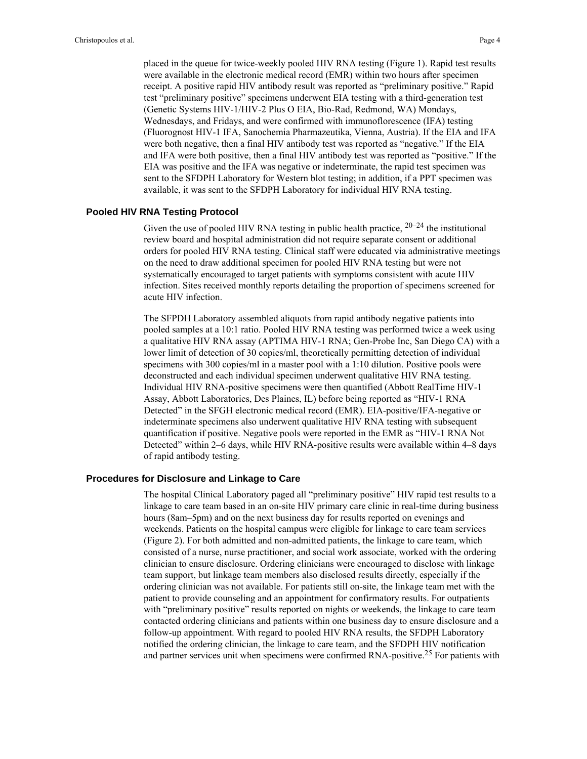placed in the queue for twice-weekly pooled HIV RNA testing (Figure 1). Rapid test results were available in the electronic medical record (EMR) within two hours after specimen receipt. A positive rapid HIV antibody result was reported as "preliminary positive." Rapid test "preliminary positive" specimens underwent EIA testing with a third-generation test (Genetic Systems HIV-1/HIV-2 Plus O EIA, Bio-Rad, Redmond, WA) Mondays, Wednesdays, and Fridays, and were confirmed with immunoflorescence (IFA) testing (Fluorognost HIV-1 IFA, Sanochemia Pharmazeutika, Vienna, Austria). If the EIA and IFA were both negative, then a final HIV antibody test was reported as "negative." If the EIA and IFA were both positive, then a final HIV antibody test was reported as "positive." If the EIA was positive and the IFA was negative or indeterminate, the rapid test specimen was sent to the SFDPH Laboratory for Western blot testing; in addition, if a PPT specimen was available, it was sent to the SFDPH Laboratory for individual HIV RNA testing.

#### **Pooled HIV RNA Testing Protocol**

Given the use of pooled HIV RNA testing in public health practice,  $20-24$  the institutional review board and hospital administration did not require separate consent or additional orders for pooled HIV RNA testing. Clinical staff were educated via administrative meetings on the need to draw additional specimen for pooled HIV RNA testing but were not systematically encouraged to target patients with symptoms consistent with acute HIV infection. Sites received monthly reports detailing the proportion of specimens screened for acute HIV infection.

The SFPDH Laboratory assembled aliquots from rapid antibody negative patients into pooled samples at a 10:1 ratio. Pooled HIV RNA testing was performed twice a week using a qualitative HIV RNA assay (APTIMA HIV-1 RNA; Gen-Probe Inc, San Diego CA) with a lower limit of detection of 30 copies/ml, theoretically permitting detection of individual specimens with 300 copies/ml in a master pool with a 1:10 dilution. Positive pools were deconstructed and each individual specimen underwent qualitative HIV RNA testing. Individual HIV RNA-positive specimens were then quantified (Abbott RealTime HIV-1 Assay, Abbott Laboratories, Des Plaines, IL) before being reported as "HIV-1 RNA Detected" in the SFGH electronic medical record (EMR). EIA-positive/IFA-negative or indeterminate specimens also underwent qualitative HIV RNA testing with subsequent quantification if positive. Negative pools were reported in the EMR as "HIV-1 RNA Not Detected" within 2–6 days, while HIV RNA-positive results were available within 4–8 days of rapid antibody testing.

#### **Procedures for Disclosure and Linkage to Care**

The hospital Clinical Laboratory paged all "preliminary positive" HIV rapid test results to a linkage to care team based in an on-site HIV primary care clinic in real-time during business hours (8am–5pm) and on the next business day for results reported on evenings and weekends. Patients on the hospital campus were eligible for linkage to care team services (Figure 2). For both admitted and non-admitted patients, the linkage to care team, which consisted of a nurse, nurse practitioner, and social work associate, worked with the ordering clinician to ensure disclosure. Ordering clinicians were encouraged to disclose with linkage team support, but linkage team members also disclosed results directly, especially if the ordering clinician was not available. For patients still on-site, the linkage team met with the patient to provide counseling and an appointment for confirmatory results. For outpatients with "preliminary positive" results reported on nights or weekends, the linkage to care team contacted ordering clinicians and patients within one business day to ensure disclosure and a follow-up appointment. With regard to pooled HIV RNA results, the SFDPH Laboratory notified the ordering clinician, the linkage to care team, and the SFDPH HIV notification and partner services unit when specimens were confirmed RNA-positive.<sup>25</sup> For patients with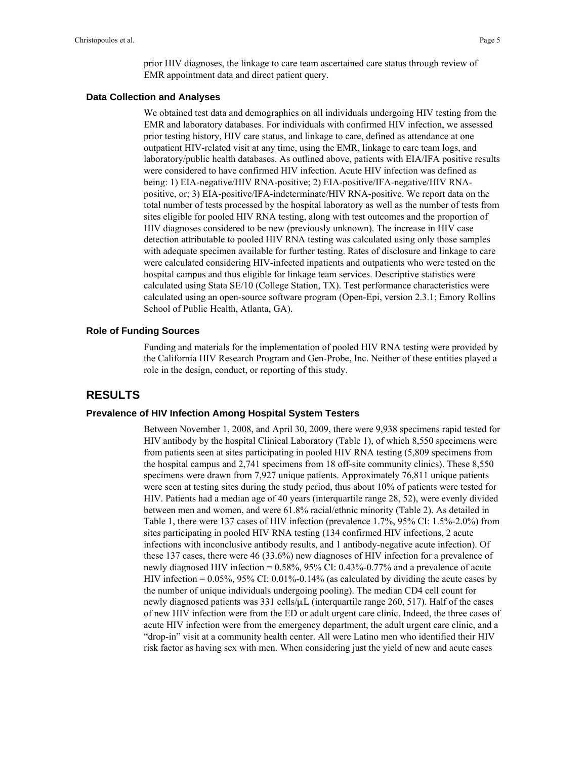#### **Data Collection and Analyses**

We obtained test data and demographics on all individuals undergoing HIV testing from the EMR and laboratory databases. For individuals with confirmed HIV infection, we assessed prior testing history, HIV care status, and linkage to care, defined as attendance at one outpatient HIV-related visit at any time, using the EMR, linkage to care team logs, and laboratory/public health databases. As outlined above, patients with EIA/IFA positive results were considered to have confirmed HIV infection. Acute HIV infection was defined as being: 1) EIA-negative/HIV RNA-positive; 2) EIA-positive/IFA-negative/HIV RNApositive, or; 3) EIA-positive/IFA-indeterminate/HIV RNA-positive. We report data on the total number of tests processed by the hospital laboratory as well as the number of tests from sites eligible for pooled HIV RNA testing, along with test outcomes and the proportion of HIV diagnoses considered to be new (previously unknown). The increase in HIV case detection attributable to pooled HIV RNA testing was calculated using only those samples with adequate specimen available for further testing. Rates of disclosure and linkage to care were calculated considering HIV-infected inpatients and outpatients who were tested on the hospital campus and thus eligible for linkage team services. Descriptive statistics were calculated using Stata SE/10 (College Station, TX). Test performance characteristics were calculated using an open-source software program (Open-Epi, version 2.3.1; Emory Rollins School of Public Health, Atlanta, GA).

#### **Role of Funding Sources**

Funding and materials for the implementation of pooled HIV RNA testing were provided by the California HIV Research Program and Gen-Probe, Inc. Neither of these entities played a role in the design, conduct, or reporting of this study.

## **RESULTS**

#### **Prevalence of HIV Infection Among Hospital System Testers**

Between November 1, 2008, and April 30, 2009, there were 9,938 specimens rapid tested for HIV antibody by the hospital Clinical Laboratory (Table 1), of which 8,550 specimens were from patients seen at sites participating in pooled HIV RNA testing (5,809 specimens from the hospital campus and 2,741 specimens from 18 off-site community clinics). These 8,550 specimens were drawn from 7,927 unique patients. Approximately 76,811 unique patients were seen at testing sites during the study period, thus about 10% of patients were tested for HIV. Patients had a median age of 40 years (interquartile range 28, 52), were evenly divided between men and women, and were 61.8% racial/ethnic minority (Table 2). As detailed in Table 1, there were 137 cases of HIV infection (prevalence 1.7%, 95% CI: 1.5%-2.0%) from sites participating in pooled HIV RNA testing (134 confirmed HIV infections, 2 acute infections with inconclusive antibody results, and 1 antibody-negative acute infection). Of these 137 cases, there were 46 (33.6%) new diagnoses of HIV infection for a prevalence of newly diagnosed HIV infection = 0.58%, 95% CI: 0.43%-0.77% and a prevalence of acute HIV infection =  $0.05\%$ , 95% CI: 0.01%-0.14% (as calculated by dividing the acute cases by the number of unique individuals undergoing pooling). The median CD4 cell count for newly diagnosed patients was  $331 \text{ cells/µL}$  (interquartile range  $260, 517$ ). Half of the cases of new HIV infection were from the ED or adult urgent care clinic. Indeed, the three cases of acute HIV infection were from the emergency department, the adult urgent care clinic, and a "drop-in" visit at a community health center. All were Latino men who identified their HIV risk factor as having sex with men. When considering just the yield of new and acute cases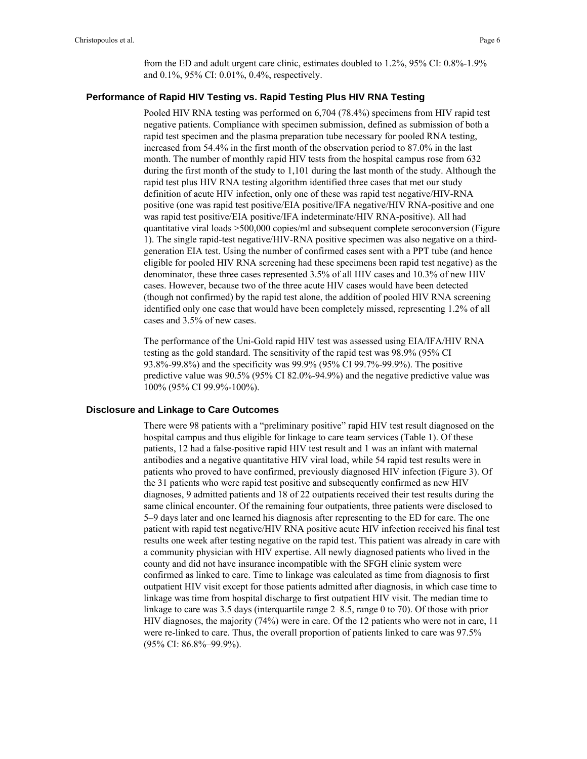from the ED and adult urgent care clinic, estimates doubled to 1.2%, 95% CI: 0.8%-1.9% and 0.1%, 95% CI: 0.01%, 0.4%, respectively.

#### **Performance of Rapid HIV Testing vs. Rapid Testing Plus HIV RNA Testing**

Pooled HIV RNA testing was performed on 6,704 (78.4%) specimens from HIV rapid test negative patients. Compliance with specimen submission, defined as submission of both a rapid test specimen and the plasma preparation tube necessary for pooled RNA testing, increased from 54.4% in the first month of the observation period to 87.0% in the last month. The number of monthly rapid HIV tests from the hospital campus rose from 632 during the first month of the study to 1,101 during the last month of the study. Although the rapid test plus HIV RNA testing algorithm identified three cases that met our study definition of acute HIV infection, only one of these was rapid test negative/HIV-RNA positive (one was rapid test positive/EIA positive/IFA negative/HIV RNA-positive and one was rapid test positive/EIA positive/IFA indeterminate/HIV RNA-positive). All had quantitative viral loads >500,000 copies/ml and subsequent complete seroconversion (Figure 1). The single rapid-test negative/HIV-RNA positive specimen was also negative on a thirdgeneration EIA test. Using the number of confirmed cases sent with a PPT tube (and hence eligible for pooled HIV RNA screening had these specimens been rapid test negative) as the denominator, these three cases represented 3.5% of all HIV cases and 10.3% of new HIV cases. However, because two of the three acute HIV cases would have been detected (though not confirmed) by the rapid test alone, the addition of pooled HIV RNA screening identified only one case that would have been completely missed, representing 1.2% of all cases and 3.5% of new cases.

The performance of the Uni-Gold rapid HIV test was assessed using EIA/IFA/HIV RNA testing as the gold standard. The sensitivity of the rapid test was 98.9% (95% CI 93.8%-99.8%) and the specificity was 99.9% (95% CI 99.7%-99.9%). The positive predictive value was 90.5% (95% CI 82.0%-94.9%) and the negative predictive value was 100% (95% CI 99.9%-100%).

#### **Disclosure and Linkage to Care Outcomes**

There were 98 patients with a "preliminary positive" rapid HIV test result diagnosed on the hospital campus and thus eligible for linkage to care team services (Table 1). Of these patients, 12 had a false-positive rapid HIV test result and 1 was an infant with maternal antibodies and a negative quantitative HIV viral load, while 54 rapid test results were in patients who proved to have confirmed, previously diagnosed HIV infection (Figure 3). Of the 31 patients who were rapid test positive and subsequently confirmed as new HIV diagnoses, 9 admitted patients and 18 of 22 outpatients received their test results during the same clinical encounter. Of the remaining four outpatients, three patients were disclosed to 5–9 days later and one learned his diagnosis after representing to the ED for care. The one patient with rapid test negative/HIV RNA positive acute HIV infection received his final test results one week after testing negative on the rapid test. This patient was already in care with a community physician with HIV expertise. All newly diagnosed patients who lived in the county and did not have insurance incompatible with the SFGH clinic system were confirmed as linked to care. Time to linkage was calculated as time from diagnosis to first outpatient HIV visit except for those patients admitted after diagnosis, in which case time to linkage was time from hospital discharge to first outpatient HIV visit. The median time to linkage to care was 3.5 days (interquartile range 2–8.5, range 0 to 70). Of those with prior HIV diagnoses, the majority (74%) were in care. Of the 12 patients who were not in care, 11 were re-linked to care. Thus, the overall proportion of patients linked to care was 97.5% (95% CI: 86.8%–99.9%).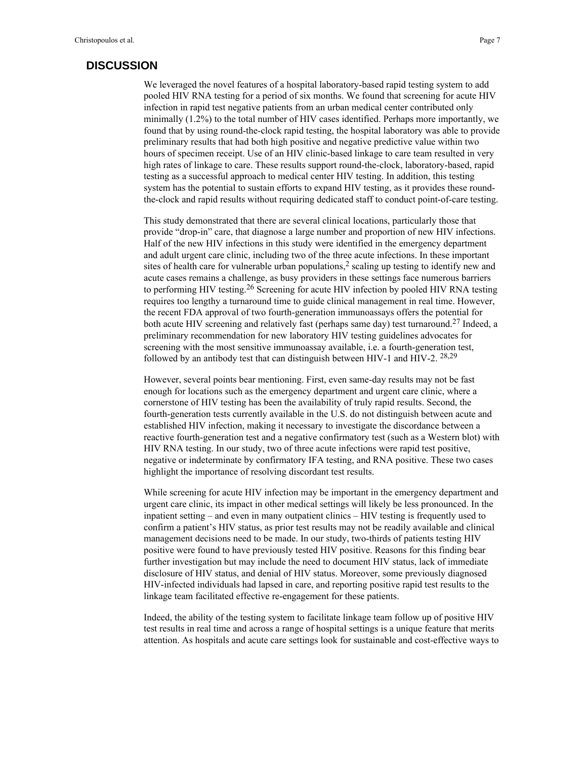## **DISCUSSION**

We leveraged the novel features of a hospital laboratory-based rapid testing system to add pooled HIV RNA testing for a period of six months. We found that screening for acute HIV infection in rapid test negative patients from an urban medical center contributed only minimally (1.2%) to the total number of HIV cases identified. Perhaps more importantly, we found that by using round-the-clock rapid testing, the hospital laboratory was able to provide preliminary results that had both high positive and negative predictive value within two hours of specimen receipt. Use of an HIV clinic-based linkage to care team resulted in very high rates of linkage to care. These results support round-the-clock, laboratory-based, rapid testing as a successful approach to medical center HIV testing. In addition, this testing system has the potential to sustain efforts to expand HIV testing, as it provides these roundthe-clock and rapid results without requiring dedicated staff to conduct point-of-care testing.

This study demonstrated that there are several clinical locations, particularly those that provide "drop-in" care, that diagnose a large number and proportion of new HIV infections. Half of the new HIV infections in this study were identified in the emergency department and adult urgent care clinic, including two of the three acute infections. In these important sites of health care for vulnerable urban populations,<sup>2</sup> scaling up testing to identify new and acute cases remains a challenge, as busy providers in these settings face numerous barriers to performing HIV testing.<sup>26</sup> Screening for acute HIV infection by pooled HIV RNA testing requires too lengthy a turnaround time to guide clinical management in real time. However, the recent FDA approval of two fourth-generation immunoassays offers the potential for both acute HIV screening and relatively fast (perhaps same day) test turnaround.<sup>27</sup> Indeed, a preliminary recommendation for new laboratory HIV testing guidelines advocates for screening with the most sensitive immunoassay available, i.e. a fourth-generation test, followed by an antibody test that can distinguish between HIV-1 and HIV-2. 28,29

However, several points bear mentioning. First, even same-day results may not be fast enough for locations such as the emergency department and urgent care clinic, where a cornerstone of HIV testing has been the availability of truly rapid results. Second, the fourth-generation tests currently available in the U.S. do not distinguish between acute and established HIV infection, making it necessary to investigate the discordance between a reactive fourth-generation test and a negative confirmatory test (such as a Western blot) with HIV RNA testing. In our study, two of three acute infections were rapid test positive, negative or indeterminate by confirmatory IFA testing, and RNA positive. These two cases highlight the importance of resolving discordant test results.

While screening for acute HIV infection may be important in the emergency department and urgent care clinic, its impact in other medical settings will likely be less pronounced. In the inpatient setting – and even in many outpatient clinics – HIV testing is frequently used to confirm a patient's HIV status, as prior test results may not be readily available and clinical management decisions need to be made. In our study, two-thirds of patients testing HIV positive were found to have previously tested HIV positive. Reasons for this finding bear further investigation but may include the need to document HIV status, lack of immediate disclosure of HIV status, and denial of HIV status. Moreover, some previously diagnosed HIV-infected individuals had lapsed in care, and reporting positive rapid test results to the linkage team facilitated effective re-engagement for these patients.

Indeed, the ability of the testing system to facilitate linkage team follow up of positive HIV test results in real time and across a range of hospital settings is a unique feature that merits attention. As hospitals and acute care settings look for sustainable and cost-effective ways to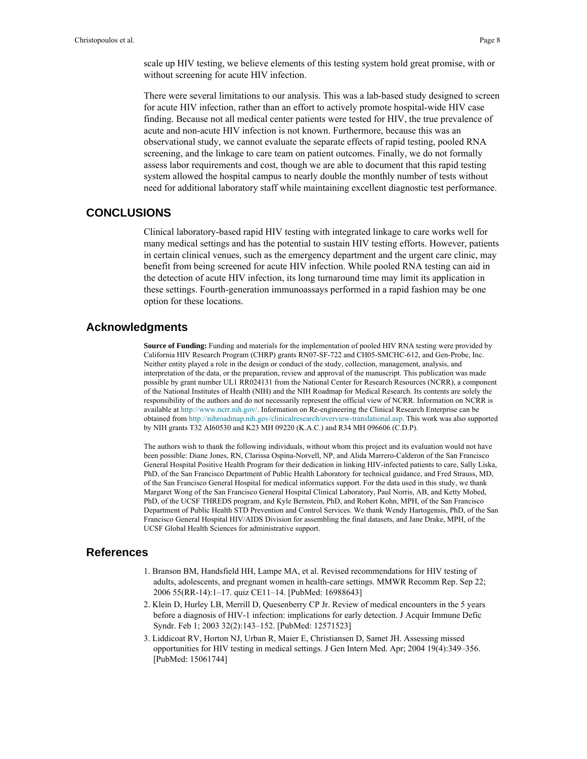scale up HIV testing, we believe elements of this testing system hold great promise, with or without screening for acute HIV infection.

There were several limitations to our analysis. This was a lab-based study designed to screen for acute HIV infection, rather than an effort to actively promote hospital-wide HIV case finding. Because not all medical center patients were tested for HIV, the true prevalence of acute and non-acute HIV infection is not known. Furthermore, because this was an observational study, we cannot evaluate the separate effects of rapid testing, pooled RNA screening, and the linkage to care team on patient outcomes. Finally, we do not formally assess labor requirements and cost, though we are able to document that this rapid testing system allowed the hospital campus to nearly double the monthly number of tests without need for additional laboratory staff while maintaining excellent diagnostic test performance.

### **CONCLUSIONS**

Clinical laboratory-based rapid HIV testing with integrated linkage to care works well for many medical settings and has the potential to sustain HIV testing efforts. However, patients in certain clinical venues, such as the emergency department and the urgent care clinic, may benefit from being screened for acute HIV infection. While pooled RNA testing can aid in the detection of acute HIV infection, its long turnaround time may limit its application in these settings. Fourth-generation immunoassays performed in a rapid fashion may be one option for these locations.

#### **Acknowledgments**

**Source of Funding:** Funding and materials for the implementation of pooled HIV RNA testing were provided by California HIV Research Program (CHRP) grants RN07-SF-722 and CH05-SMCHC-612, and Gen-Probe, Inc. Neither entity played a role in the design or conduct of the study, collection, management, analysis, and interpretation of the data, or the preparation, review and approval of the manuscript. This publication was made possible by grant number UL1 RR024131 from the National Center for Research Resources (NCRR), a component of the National Institutes of Health (NIH) and the NIH Roadmap for Medical Research. Its contents are solely the responsibility of the authors and do not necessarily represent the official view of NCRR. Information on NCRR is available at <http://www.ncrr.nih.gov/>. Information on Re-engineering the Clinical Research Enterprise can be obtained from [http://nihroadmap.nih.gov/clinicalresearch/overview-translational.asp.](http://nihroadmap.nih.gov/clinicalresearch/overview-translational.asp) This work was also supported by NIH grants T32 AI60530 and K23 MH 09220 (K.A.C.) and R34 MH 096606 (C.D.P).

The authors wish to thank the following individuals, without whom this project and its evaluation would not have been possible: Diane Jones, RN, Clarissa Ospina-Norvell, NP, and Alida Marrero-Calderon of the San Francisco General Hospital Positive Health Program for their dedication in linking HIV-infected patients to care, Sally Liska, PhD, of the San Francisco Department of Public Health Laboratory for technical guidance, and Fred Strauss, MD, of the San Francisco General Hospital for medical informatics support. For the data used in this study, we thank Margaret Wong of the San Francisco General Hospital Clinical Laboratory, Paul Norris, AB, and Ketty Mobed, PhD, of the UCSF THREDS program, and Kyle Bernstein, PhD, and Robert Kohn, MPH, of the San Francisco Department of Public Health STD Prevention and Control Services. We thank Wendy Hartogensis, PhD, of the San Francisco General Hospital HIV/AIDS Division for assembling the final datasets, and Jane Drake, MPH, of the UCSF Global Health Sciences for administrative support.

### **References**

- 1. Branson BM, Handsfield HH, Lampe MA, et al. Revised recommendations for HIV testing of adults, adolescents, and pregnant women in health-care settings. MMWR Recomm Rep. Sep 22; 2006 55(RR-14):1–17. quiz CE11–14. [PubMed: 16988643]
- 2. Klein D, Hurley LB, Merrill D, Quesenberry CP Jr. Review of medical encounters in the 5 years before a diagnosis of HIV-1 infection: implications for early detection. J Acquir Immune Defic Syndr. Feb 1; 2003 32(2):143–152. [PubMed: 12571523]
- 3. Liddicoat RV, Horton NJ, Urban R, Maier E, Christiansen D, Samet JH. Assessing missed opportunities for HIV testing in medical settings. J Gen Intern Med. Apr; 2004 19(4):349–356. [PubMed: 15061744]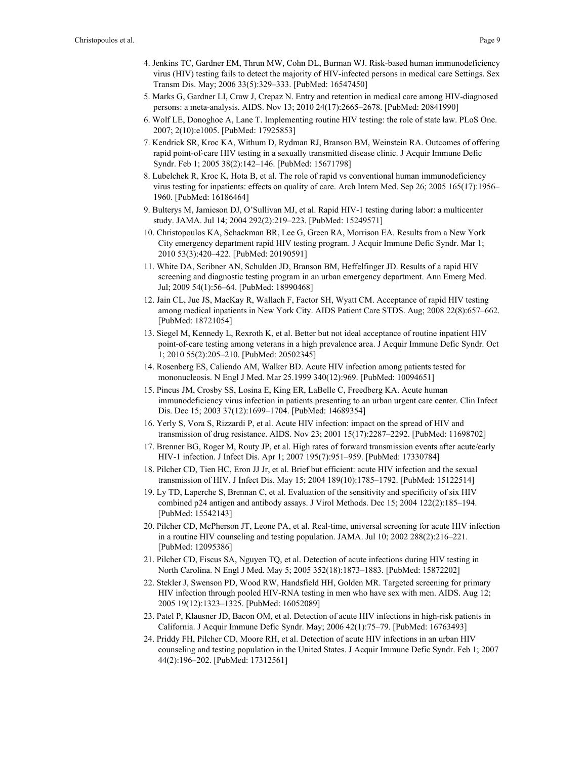- 4. Jenkins TC, Gardner EM, Thrun MW, Cohn DL, Burman WJ. Risk-based human immunodeficiency virus (HIV) testing fails to detect the majority of HIV-infected persons in medical care Settings. Sex Transm Dis. May; 2006 33(5):329–333. [PubMed: 16547450]
- 5. Marks G, Gardner LI, Craw J, Crepaz N. Entry and retention in medical care among HIV-diagnosed persons: a meta-analysis. AIDS. Nov 13; 2010 24(17):2665–2678. [PubMed: 20841990]
- 6. Wolf LE, Donoghoe A, Lane T. Implementing routine HIV testing: the role of state law. PLoS One. 2007; 2(10):e1005. [PubMed: 17925853]
- 7. Kendrick SR, Kroc KA, Withum D, Rydman RJ, Branson BM, Weinstein RA. Outcomes of offering rapid point-of-care HIV testing in a sexually transmitted disease clinic. J Acquir Immune Defic Syndr. Feb 1; 2005 38(2):142–146. [PubMed: 15671798]
- 8. Lubelchek R, Kroc K, Hota B, et al. The role of rapid vs conventional human immunodeficiency virus testing for inpatients: effects on quality of care. Arch Intern Med. Sep 26; 2005 165(17):1956– 1960. [PubMed: 16186464]
- 9. Bulterys M, Jamieson DJ, O'Sullivan MJ, et al. Rapid HIV-1 testing during labor: a multicenter study. JAMA. Jul 14; 2004 292(2):219–223. [PubMed: 15249571]
- 10. Christopoulos KA, Schackman BR, Lee G, Green RA, Morrison EA. Results from a New York City emergency department rapid HIV testing program. J Acquir Immune Defic Syndr. Mar 1; 2010 53(3):420–422. [PubMed: 20190591]
- 11. White DA, Scribner AN, Schulden JD, Branson BM, Heffelfinger JD. Results of a rapid HIV screening and diagnostic testing program in an urban emergency department. Ann Emerg Med. Jul; 2009 54(1):56–64. [PubMed: 18990468]
- 12. Jain CL, Jue JS, MacKay R, Wallach F, Factor SH, Wyatt CM. Acceptance of rapid HIV testing among medical inpatients in New York City. AIDS Patient Care STDS. Aug; 2008 22(8):657–662. [PubMed: 18721054]
- 13. Siegel M, Kennedy L, Rexroth K, et al. Better but not ideal acceptance of routine inpatient HIV point-of-care testing among veterans in a high prevalence area. J Acquir Immune Defic Syndr. Oct 1; 2010 55(2):205–210. [PubMed: 20502345]
- 14. Rosenberg ES, Caliendo AM, Walker BD. Acute HIV infection among patients tested for mononucleosis. N Engl J Med. Mar 25.1999 340(12):969. [PubMed: 10094651]
- 15. Pincus JM, Crosby SS, Losina E, King ER, LaBelle C, Freedberg KA. Acute human immunodeficiency virus infection in patients presenting to an urban urgent care center. Clin Infect Dis. Dec 15; 2003 37(12):1699–1704. [PubMed: 14689354]
- 16. Yerly S, Vora S, Rizzardi P, et al. Acute HIV infection: impact on the spread of HIV and transmission of drug resistance. AIDS. Nov 23; 2001 15(17):2287–2292. [PubMed: 11698702]
- 17. Brenner BG, Roger M, Routy JP, et al. High rates of forward transmission events after acute/early HIV-1 infection. J Infect Dis. Apr 1; 2007 195(7):951–959. [PubMed: 17330784]
- 18. Pilcher CD, Tien HC, Eron JJ Jr, et al. Brief but efficient: acute HIV infection and the sexual transmission of HIV. J Infect Dis. May 15; 2004 189(10):1785–1792. [PubMed: 15122514]
- 19. Ly TD, Laperche S, Brennan C, et al. Evaluation of the sensitivity and specificity of six HIV combined p24 antigen and antibody assays. J Virol Methods. Dec 15; 2004 122(2):185–194. [PubMed: 15542143]
- 20. Pilcher CD, McPherson JT, Leone PA, et al. Real-time, universal screening for acute HIV infection in a routine HIV counseling and testing population. JAMA. Jul 10; 2002 288(2):216–221. [PubMed: 12095386]
- 21. Pilcher CD, Fiscus SA, Nguyen TQ, et al. Detection of acute infections during HIV testing in North Carolina. N Engl J Med. May 5; 2005 352(18):1873–1883. [PubMed: 15872202]
- 22. Stekler J, Swenson PD, Wood RW, Handsfield HH, Golden MR. Targeted screening for primary HIV infection through pooled HIV-RNA testing in men who have sex with men. AIDS. Aug 12; 2005 19(12):1323–1325. [PubMed: 16052089]
- 23. Patel P, Klausner JD, Bacon OM, et al. Detection of acute HIV infections in high-risk patients in California. J Acquir Immune Defic Syndr. May; 2006 42(1):75–79. [PubMed: 16763493]
- 24. Priddy FH, Pilcher CD, Moore RH, et al. Detection of acute HIV infections in an urban HIV counseling and testing population in the United States. J Acquir Immune Defic Syndr. Feb 1; 2007 44(2):196–202. [PubMed: 17312561]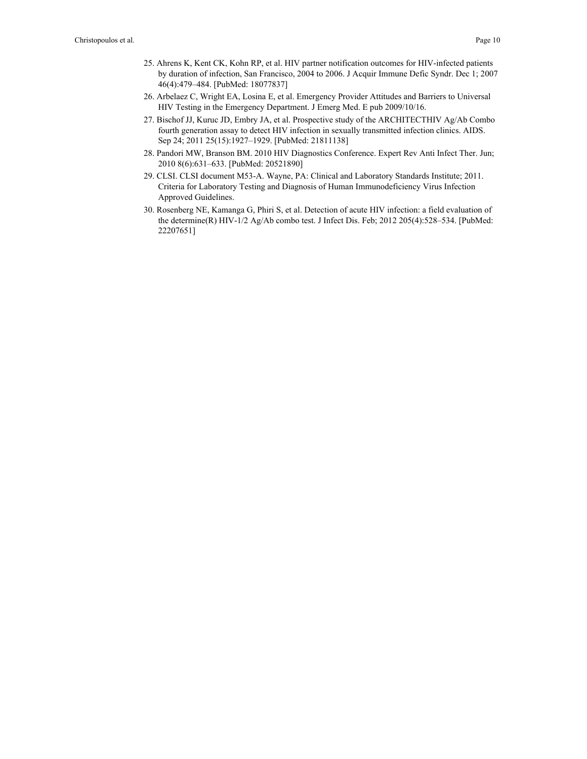- 25. Ahrens K, Kent CK, Kohn RP, et al. HIV partner notification outcomes for HIV-infected patients by duration of infection, San Francisco, 2004 to 2006. J Acquir Immune Defic Syndr. Dec 1; 2007 46(4):479–484. [PubMed: 18077837]
- 26. Arbelaez C, Wright EA, Losina E, et al. Emergency Provider Attitudes and Barriers to Universal HIV Testing in the Emergency Department. J Emerg Med. E pub 2009/10/16.
- 27. Bischof JJ, Kuruc JD, Embry JA, et al. Prospective study of the ARCHITECTHIV Ag/Ab Combo fourth generation assay to detect HIV infection in sexually transmitted infection clinics. AIDS. Sep 24; 2011 25(15):1927–1929. [PubMed: 21811138]
- 28. Pandori MW, Branson BM. 2010 HIV Diagnostics Conference. Expert Rev Anti Infect Ther. Jun; 2010 8(6):631–633. [PubMed: 20521890]
- 29. CLSI. CLSI document M53-A. Wayne, PA: Clinical and Laboratory Standards Institute; 2011. Criteria for Laboratory Testing and Diagnosis of Human Immunodeficiency Virus Infection Approved Guidelines.
- 30. Rosenberg NE, Kamanga G, Phiri S, et al. Detection of acute HIV infection: a field evaluation of the determine(R) HIV-1/2 Ag/Ab combo test. J Infect Dis. Feb; 2012 205(4):528–534. [PubMed: 22207651]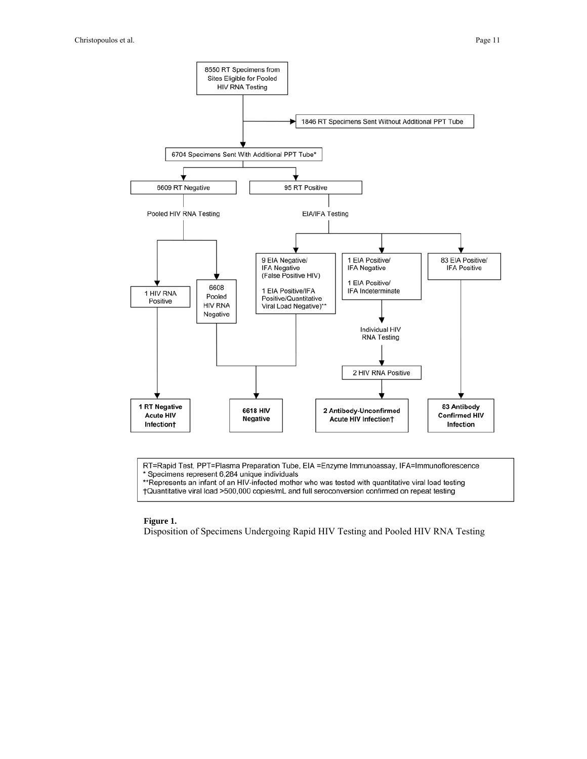

RT=Rapid Test, PPT=Plasma Preparation Tube, EIA =Enzyme Immunoassay, IFA=Immunoflorescence \* Specimens represent 6,284 unique individuals

\*Represents an infant of an HIV-infected mother who was tested with quantitative viral load testing †Quantitative viral load >500,000 copies/mL and full seroconversion confirmed on repeat testing

#### **Figure 1.**

Disposition of Specimens Undergoing Rapid HIV Testing and Pooled HIV RNA Testing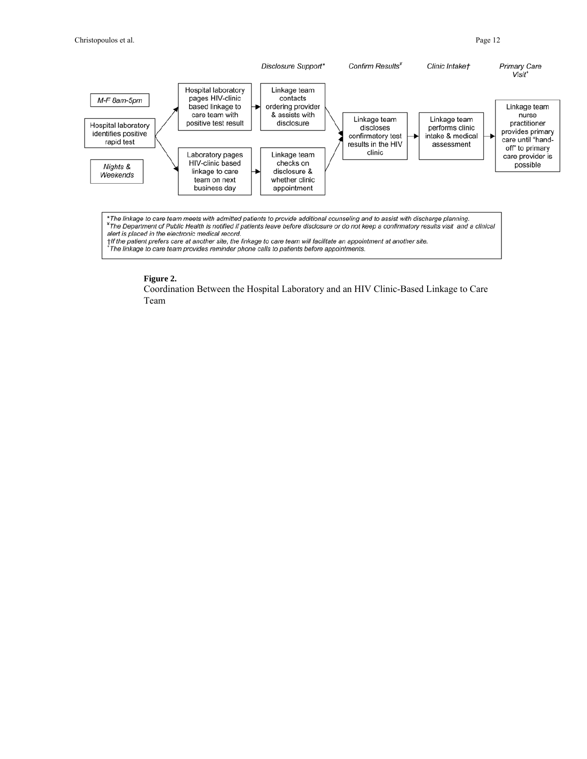

#### **Figure 2.**

Coordination Between the Hospital Laboratory and an HIV Clinic-Based Linkage to Care Team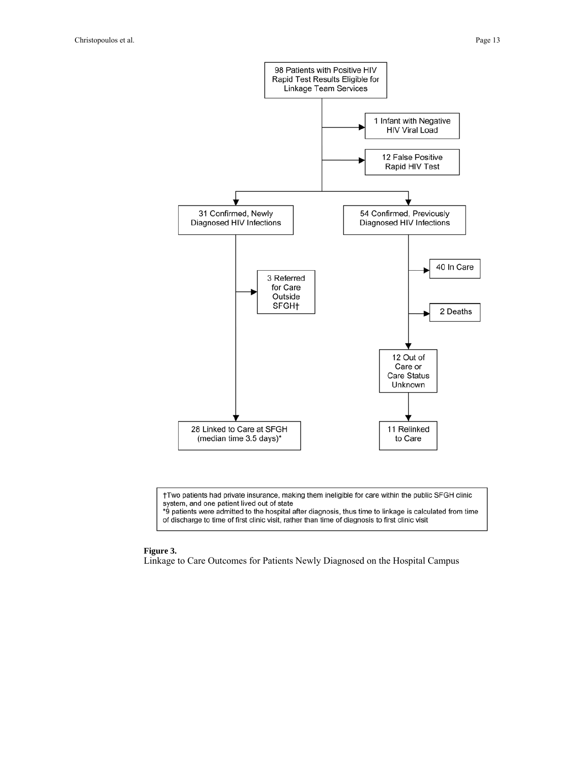

†Two patients had private insurance, making them ineligible for care within the public SFGH clinic system, and one patient lived out of state

\*9 patients were admitted to the hospital after diagnosis, thus time to linkage is calculated from time of discharge to time of first clinic visit, rather than time of diagnosis to first clinic visit

#### **Figure 3.**

Linkage to Care Outcomes for Patients Newly Diagnosed on the Hospital Campus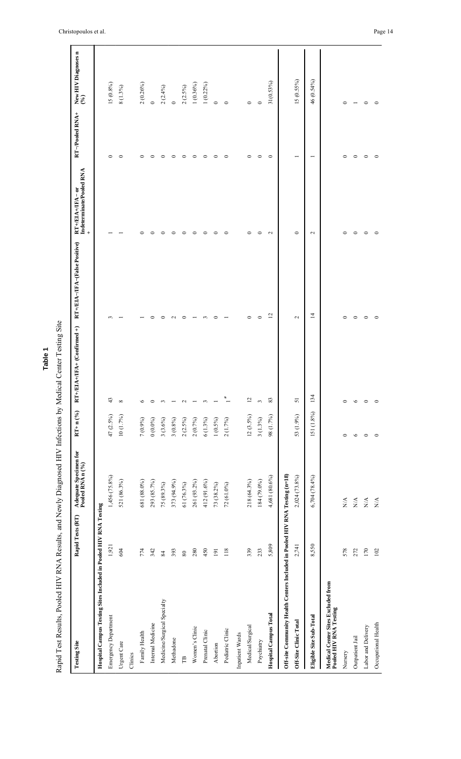| <b>Testing Site</b>                                                         | Rapid Tests (RT) | Adequate Specimen for<br>Pooled RNA n (%) | $RT + n (%$ | $JFA+$ (Confirmed +)<br>$RT + EIA +$ | RT+/EIA-/IFA-(False Positive) | Indeterminate/Pooled RNA<br>$RT + EIA + IFA - or$<br>$+$ | RT-Pooled RNA+           | New HIV Diagnoses n<br>(%) |
|-----------------------------------------------------------------------------|------------------|-------------------------------------------|-------------|--------------------------------------|-------------------------------|----------------------------------------------------------|--------------------------|----------------------------|
| Hospital Campus Testing Sites Included in Pooled HIV RNA Testing            |                  |                                           |             |                                      |                               |                                                          |                          |                            |
| Emergency Department                                                        | 1,921            | 1,456 (75.8%)                             | 47 (2.5%)   | 43                                   | $\sim$                        |                                                          | $\circ$                  | 15(0.8%)                   |
| Urgent Care                                                                 | 604              | 521 (86.3%)                               | 10(1.7%)    | $\infty$                             |                               |                                                          | $\circ$                  | 8 (1.3%)                   |
| Clinics                                                                     |                  |                                           |             |                                      |                               |                                                          |                          |                            |
| Family Health                                                               | 774              | 681 (88.0%)                               | 7 (0.9%)    | $\circ$                              |                               | ᅌ                                                        | $\circ$                  | 2(0.26%)                   |
| Internal Medicine                                                           | 342              | 293 (85.7%)                               | $0(0.0\%)$  | $\circ$                              | 0                             | $\circ$                                                  | $\circ$                  | $\circ$                    |
| Medicine/Surgical Specialty                                                 | 84               | 75 (89.3%)                                | 3(3.6%)     | $\epsilon$                           | 0                             | $\circ$                                                  | $\circ$                  | $2(2.4\%)$                 |
| Methadone                                                                   | 393              | 373 (94.9%)                               | 3(0.8%)     |                                      | $\mathbf{C}$                  | $\circ$                                                  | $\circ$                  | $\circ$                    |
| $\mathbb{B}$                                                                | $80\,$           | 61 (76.3%)                                | 2(2.5%)     | $\sim$                               | $\circ$                       | $\circ$                                                  | $\circ$                  | 2(2.5%)                    |
| Women's Clinic                                                              | 280              | 261 (93.2%)                               | 2(0.7%)     |                                      |                               | $\circ$                                                  | $\circ$                  | 1(0.36%)                   |
| Prenatal Clinic                                                             | 450              | 412 (91.6%)                               | 6(1.3%)     | 3                                    | 3                             | $\circ$                                                  | $\circ$                  | 1(0.22%)                   |
| Abortion                                                                    | $\overline{191}$ | 73 (38.2%)                                | $1(0.5\%)$  |                                      | $\circ$                       | $\circ$                                                  | $\circ$                  | $\circ$                    |
| Pediatric Clinic                                                            | 118              | 72 (61.0%)                                | 2(1.7%)     | $\ddot{\ }$                          |                               | $\circ$                                                  | $\circ$                  | $\circ$                    |
| Inpatient Wards                                                             |                  |                                           |             |                                      |                               |                                                          |                          |                            |
| Medical/Surgical                                                            | 339              | 218 (64.3%)                               | $12(3.5\%)$ | $\overline{\omega}$                  | $\circ$                       | $\circ$                                                  | $\circ$                  | $\circ$                    |
| Psychiatry                                                                  | 233              | 184 (79.0%)                               | 3(1.3%)     | $\epsilon$                           | $\circ$                       | $\circ$                                                  | $\circ$                  | $\circ$                    |
| <b>Hospital Campus Total</b>                                                | 5,809            | 4,681 (80.6%)                             | 98 (1.7%)   | $83\,$                               | $\overline{5}$                | $\sim$                                                   | $\circ$                  | 31(0.53%)                  |
| Off-site Community Health Centers Included in Pooled HIV RNA Testing (n=18) |                  |                                           |             |                                      |                               |                                                          |                          |                            |
| Off-Site Clinic Total                                                       | 2,741            | 2,024 (73.8%)                             | 53 (1.9%)   | $\overline{5}$                       | $\sim$                        | $\circ$                                                  | $\overline{\phantom{0}}$ | 15 (0.55%)                 |
| Eligible Site Sub-Total                                                     | 8,550            | 6,704 (78.4%)                             | 151 (1.8%)  | 134                                  | $\overline{4}$                | $\sim$                                                   | −                        | 46 (0.54%)                 |
| Medical Center Sites Excluded from<br>Pooled HIV RNA Testing                |                  |                                           |             |                                      |                               |                                                          |                          |                            |
| Nursery                                                                     | 578              | $\mathop{\rm N}\nolimits$                 | $\circ$     | 0                                    | 0                             | $\circ$                                                  | $\circ$                  | ∊                          |
| Outpatient Jail                                                             | 272              | $\mathbb{N}\mathbb{A}$                    | $\circ$     | $\circ$                              | $\circ$                       | $\circ$                                                  | $\circ$                  |                            |
| Labor and Delivery                                                          | 170              | N/A                                       | $\circ$     | $\circ$                              | $\circ$                       | $\circ$                                                  | $\circ$                  | 0                          |
| Occupational Health                                                         | 102              | $\mathbb{N}\mathbb{A}$                    | $\circ$     | $\circ$                              | $\circ$                       | $\circ$                                                  | $\circ$                  | $\mathbf{\circ}$           |

Rapid Test Results, Pooled HIV RNA Results, and Newly Diagnosed HIV Infections by Medical Center Testing Site

Christopoulos et al. Page 14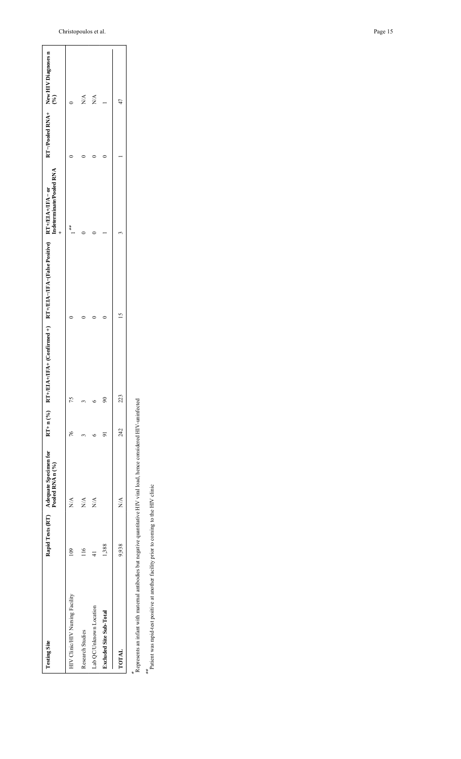| <b>Testing Site</b>             |       | Rapid Tests (RT) Adequate Specimen for<br>Pooled RNA n (%) |     | $RT + n$ (%) $RT + ELA + TFA + (Conffrmed +)$ $RT + EIA - (False Positive)$ $RT + EIA + /TRA - or$<br>Indeterminate/Pooled RNA |        |        | $RT-Pooled RNA+ New HIV Diagnoses n(%)$ |
|---------------------------------|-------|------------------------------------------------------------|-----|--------------------------------------------------------------------------------------------------------------------------------|--------|--------|-----------------------------------------|
| HIV Clinic/HIV Nursing Facility |       | X<br>X                                                     | 76  |                                                                                                                                |        | *<br>* |                                         |
| <b>Research Studies</b>         |       | $\overline{N}$                                             |     |                                                                                                                                |        |        | ΝÁ                                      |
| Lab QC/Unknown Location         |       | $\stackrel{\triangle}{\geq}$                               |     |                                                                                                                                |        |        | $\frac{\triangleleft}{\triangle}$       |
| <b>Excluded Site Sub-Total</b>  | 1,388 |                                                            | 5   | $\boldsymbol{\mathcal{S}}$                                                                                                     |        |        |                                         |
| TOTAL                           | 9.938 | X<br>Z                                                     | 242 | 223                                                                                                                            | $\leq$ |        | 47                                      |

Represents an infant with maternal antibodies but negative quantitative HIV viral load, hence considered HIV-uninfected

\*

\*\* atient was rapid-test positive at another facility prior to coming to the HIV clinic Patient was rapid-test positive at another facility prior to coming to the HIV clinic